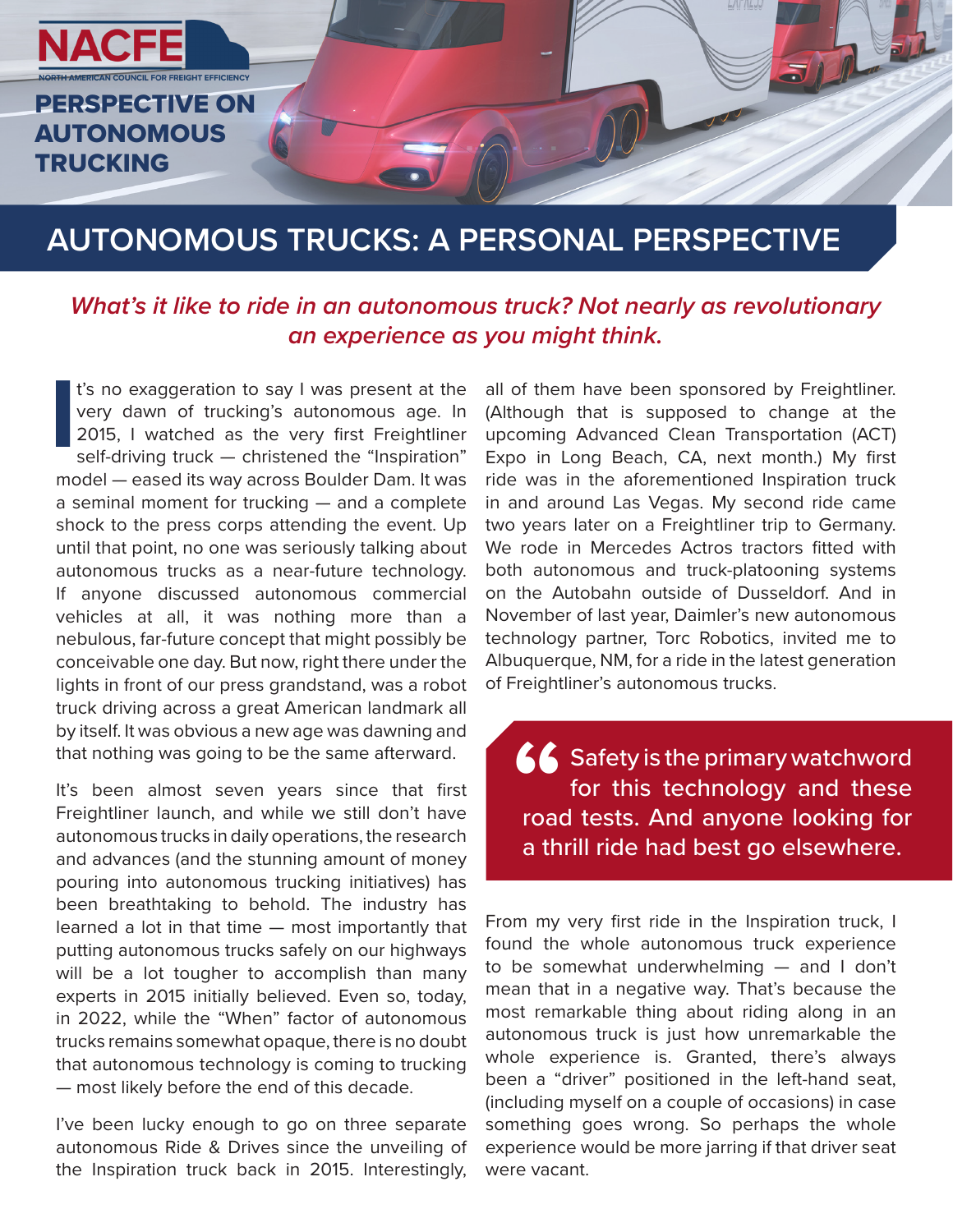

## **AUTONOMOUS TRUCKS: A PERSONAL PERSPECTIVE**

## *What's it like to ride in an autonomous truck? Not nearly as revolutionary an experience as you might think.*

**I** t's no exaggeration to say I was present at the very dawn of trucking's autonomous age. In 2015, I watched as the very first Freightliner self-driving truck - christened the "Inspiration" model — eased its way across Boulder Dam. It was a seminal moment for trucking — and a complete shock to the press corps attending the event. Up until that point, no one was seriously talking about autonomous trucks as a near-future technology. If anyone discussed autonomous commercial vehicles at all, it was nothing more than a nebulous, far-future concept that might possibly be conceivable one day. But now, right there under the lights in front of our press grandstand, was a robot truck driving across a great American landmark all by itself. It was obvious a new age was dawning and that nothing was going to be the same afterward.

It's been almost seven years since that first Freightliner launch, and while we still don't have autonomous trucks in daily operations, the research and advances (and the stunning amount of money pouring into autonomous trucking initiatives) has been breathtaking to behold. The industry has learned a lot in that time — most importantly that putting autonomous trucks safely on our highways will be a lot tougher to accomplish than many experts in 2015 initially believed. Even so, today, in 2022, while the "When" factor of autonomous trucks remains somewhat opaque, there is no doubt that autonomous technology is coming to trucking — most likely before the end of this decade.

I've been lucky enough to go on three separate autonomous Ride & Drives since the unveiling of the Inspiration truck back in 2015. Interestingly,

all of them have been sponsored by Freightliner. (Although that is supposed to change at the upcoming Advanced Clean Transportation (ACT) Expo in Long Beach, CA, next month.) My first ride was in the aforementioned Inspiration truck in and around Las Vegas. My second ride came two years later on a Freightliner trip to Germany. We rode in Mercedes Actros tractors fitted with both autonomous and truck-platooning systems on the Autobahn outside of Dusseldorf. And in November of last year, Daimler's new autonomous technology partner, Torc Robotics, invited me to Albuquerque, NM, for a ride in the latest generation of Freightliner's autonomous trucks.

Safety is the primary watchword for this technology and these road tests. And anyone looking for a thrill ride had best go elsewhere. **66**<br> **"**<br> **"** 

From my very first ride in the Inspiration truck, I found the whole autonomous truck experience to be somewhat underwhelming — and I don't mean that in a negative way. That's because the most remarkable thing about riding along in an autonomous truck is just how unremarkable the whole experience is. Granted, there's always been a "driver" positioned in the left-hand seat, (including myself on a couple of occasions) in case something goes wrong. So perhaps the whole experience would be more jarring if that driver seat were vacant.